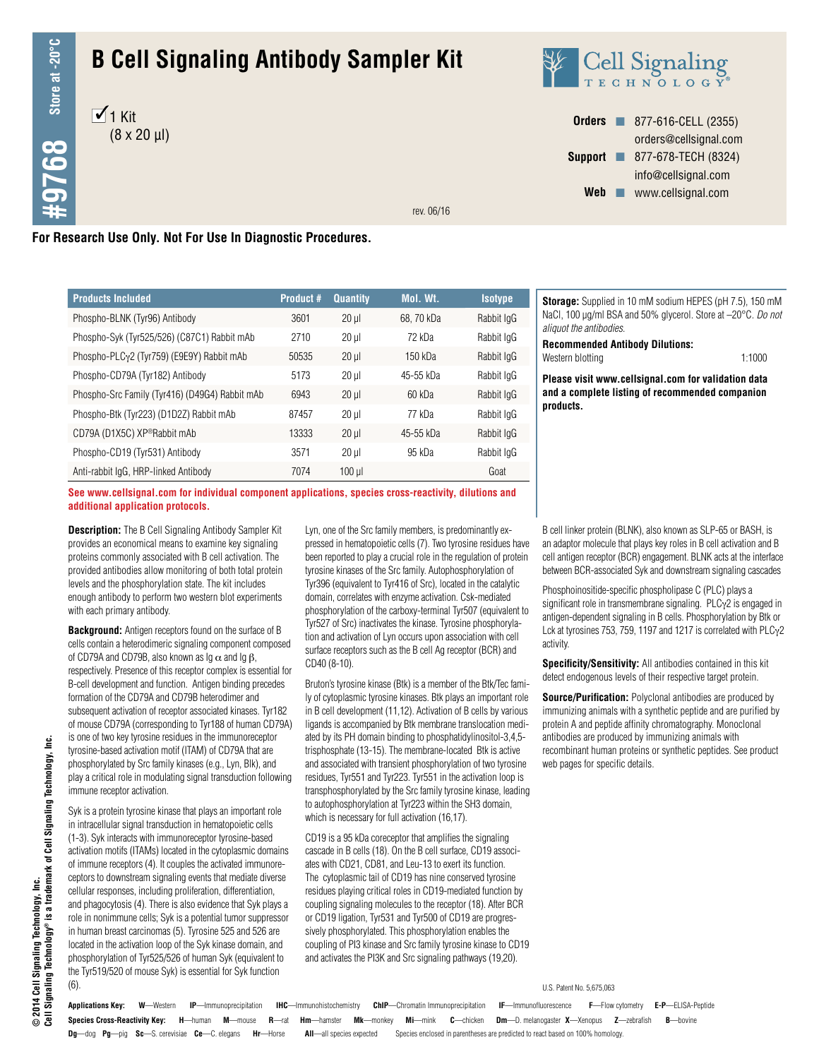# **B Cell Signaling Antibody Sampler Kit**

 $\overline{1}$  Kit (8 x 20 µl)



**Orders n** 877-616-CELL (2355) orders@cellsignal.com **Support n** 877-678-TECH (8324) info@cellsignal.com Web www.cellsignal.com

rev. 06/16

# **For Research Use Only. Not For Use In Diagnostic Procedures.**

| <b>Products Included</b>                       | <b>Product #</b> | <b>Quantity</b> | Mol. Wt.  | <b>Isotype</b> |
|------------------------------------------------|------------------|-----------------|-----------|----------------|
| Phospho-BLNK (Tyr96) Antibody                  | 3601             | $20 \mu$        | 68.70 kDa | Rabbit IgG     |
| Phospho-Syk (Tyr525/526) (C87C1) Rabbit mAb    | 2710             | $20 \mu$        | 72 kDa    | Rabbit IgG     |
| Phospho-PLCγ2 (Tyr759) (E9E9Y) Rabbit mAb      | 50535            | $20 \mu$        | 150 kDa   | Rabbit IgG     |
| Phospho-CD79A (Tyr182) Antibody                | 5173             | $20 \mu$        | 45-55 kDa | Rabbit IgG     |
| Phospho-Src Family (Tyr416) (D49G4) Rabbit mAb | 6943             | $20 \mu$        | 60 kDa    | Rabbit IgG     |
| Phospho-Btk (Tyr223) (D1D2Z) Rabbit mAb        | 87457            | $20 \mu$        | 77 kDa    | Rabbit IgG     |
| CD79A (D1X5C) XP®Rabbit mAb                    | 13333            | $20 \mu$        | 45-55 kDa | Rabbit IgG     |
| Phospho-CD19 (Tyr531) Antibody                 | 3571             | $20 \mu$        | $95$ kDa  | Rabbit IgG     |
| Anti-rabbit IgG, HRP-linked Antibody           | 7074             | $100$ $\mu$     |           | Goat           |

**Storage:** Supplied in 10 mM sodium HEPES (pH 7.5), 150 mM NaCl, 100 µg/ml BSA and 50% glycerol. Store at –20°C. *Do not aliquot the antibodies*.

**Recommended Antibody Dilutions:**

Western blotting 1:1000

**Please visit www.cellsignal.com for validation data and a complete listing of recommended companion products.**

| See www.cellsignal.com for individual component applications, species cross-reactivity, dilutions and |  |  |
|-------------------------------------------------------------------------------------------------------|--|--|
| additional application protocols.                                                                     |  |  |

**Description:** The B Cell Signaling Antibody Sampler Kit provides an economical means to examine key signaling proteins commonly associated with B cell activation. The provided antibodies allow monitoring of both total protein levels and the phosphorylation state. The kit includes enough antibody to perform two western blot experiments with each primary antibody.

**Background:** Antigen receptors found on the surface of B cells contain a heterodimeric signaling component composed of CD79A and CD79B, also known as  $\lg \alpha$  and  $\lg \beta$ , respectively. Presence of this receptor complex is essential for B-cell development and function. Antigen binding precedes formation of the CD79A and CD79B heterodimer and subsequent activation of receptor associated kinases. Tyr182 of mouse CD79A (corresponding to Tyr188 of human CD79A) is one of two key tyrosine residues in the immunoreceptor tyrosine-based activation motif (ITAM) of CD79A that are phosphorylated by Src family kinases (e.g., Lyn, Blk), and play a critical role in modulating signal transduction following immune receptor activation.

Syk is a protein tyrosine kinase that plays an important role in intracellular signal transduction in hematopoietic cells (1-3). Syk interacts with immunoreceptor tyrosine-based activation motifs (ITAMs) located in the cytoplasmic domains of immune receptors (4). It couples the activated immunoreceptors to downstream signaling events that mediate diverse cellular responses, including proliferation, differentiation, and phagocytosis (4). There is also evidence that Syk plays a role in nonimmune cells; Syk is a potential tumor suppressor in human breast carcinomas (5). Tyrosine 525 and 526 are located in the activation loop of the Syk kinase domain, and phosphorylation of Tyr525/526 of human Syk (equivalent to the Tyr519/520 of mouse Syk) is essential for Syk function (6).

Lyn, one of the Src family members, is predominantly expressed in hematopoietic cells (7). Two tyrosine residues have been reported to play a crucial role in the regulation of protein tyrosine kinases of the Src family. Autophosphorylation of Tyr396 (equivalent to Tyr416 of Src), located in the catalytic domain, correlates with enzyme activation. Csk-mediated phosphorylation of the carboxy-terminal Tyr507 (equivalent to Tyr527 of Src) inactivates the kinase. Tyrosine phosphorylation and activation of Lyn occurs upon association with cell surface receptors such as the B cell Ag receptor (BCR) and CD40 (8-10).

Bruton's tyrosine kinase (Btk) is a member of the Btk/Tec family of cytoplasmic tyrosine kinases. Btk plays an important role in B cell development (11,12). Activation of B cells by various ligands is accompanied by Btk membrane translocation mediated by its PH domain binding to phosphatidylinositol-3,4,5 trisphosphate (13-15). The membrane-located Btk is active and associated with transient phosphorylation of two tyrosine residues, Tyr551 and Tyr223. Tyr551 in the activation loop is transphosphorylated by the Src family tyrosine kinase, leading to autophosphorylation at Tyr223 within the SH3 domain, which is necessary for full activation (16,17).

CD19 is a 95 kDa coreceptor that amplifies the signaling cascade in B cells (18). On the B cell surface, CD19 associates with CD21, CD81, and Leu-13 to exert its function. The cytoplasmic tail of CD19 has nine conserved tyrosine residues playing critical roles in CD19-mediated function by coupling signaling molecules to the receptor (18). After BCR or CD19 ligation, Tyr531 and Tyr500 of CD19 are progressively phosphorylated. This phosphorylation enables the coupling of PI3 kinase and Src family tyrosine kinase to CD19 and activates the PI3K and Src signaling pathways (19,20).

B cell linker protein (BLNK), also known as SLP-65 or BASH, is an adaptor molecule that plays key roles in B cell activation and B cell antigen receptor (BCR) engagement. BLNK acts at the interface between BCR-associated Syk and downstream signaling cascades

Phosphoinositide-specific phospholipase C (PLC) plays a significant role in transmembrane signaling.  $PLC<sub>Y</sub>2$  is engaged in antigen-dependent signaling in B cells. Phosphorylation by Btk or Lck at tyrosines 753, 759, 1197 and 1217 is correlated with  $PLC<sub>Y</sub>2$ activity.

**Specificity/Sensitivity:** All antibodies contained in this kit detect endogenous levels of their respective target protein.

**Source/Purification:** Polyclonal antibodies are produced by immunizing animals with a synthetic peptide and are purified by protein A and peptide affinity chromatography. Monoclonal antibodies are produced by immunizing animals with recombinant human proteins or synthetic peptides. See product web pages for specific details.

U.S. Patent No. 5,675,063

**Species Cross-Reactivity Key: H**—human **M**—mouse **R**—rat **Hm**—hamster **Mk**—monkey **Mi**—mink **C**—chicken **Dm**—D. melanogaster **X**—Xenopus **Z**—zebrafish **B**—bovine **Dg**—dog **Pg**—pig **Sc**—S. cerevisiae **Ce**—C. elegans **Hr**—Horse **All**—all species expected Species enclosed in parentheses are predicted to react based on 100% homology. **Applications Key: W**—Western **IP**—Immunoprecipitation **IHC**—Immunohistochemistry **ChIP**—Chromatin Immunoprecipitation **IF**—Immunofluorescence **F**—Flow cytometry **E-P**—ELISA-Peptide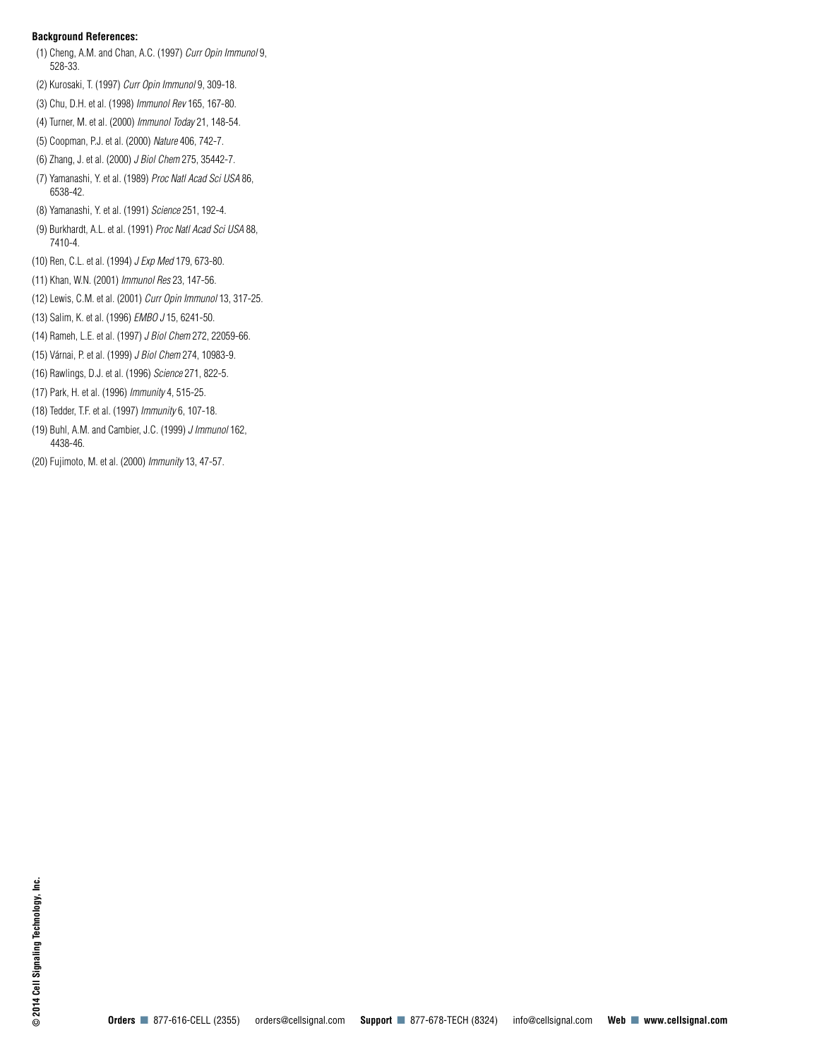#### **Background References:**

- (1) Cheng, A.M. and Chan, A.C. (1997) *Curr Opin Immunol* 9, 528-33.
- (2) Kurosaki, T. (1997) *Curr Opin Immunol* 9, 309-18.
- (3) Chu, D.H. et al. (1998) *Immunol Rev* 165, 167-80.
- (4) Turner, M. et al. (2000) *Immunol Today* 21, 148-54.
- (5) Coopman, P.J. et al. (2000) *Nature* 406, 742-7.
- (6) Zhang, J. et al. (2000) *J Biol Chem* 275, 35442-7.
- (7) Yamanashi, Y. et al. (1989) *Proc Natl Acad Sci USA* 86, 6538-42.
- (8) Yamanashi, Y. et al. (1991) *Science* 251, 192-4.
- (9) Burkhardt, A.L. et al. (1991) *Proc Natl Acad Sci USA* 88, 7410-4.
- (10) Ren, C.L. et al. (1994) *J Exp Med* 179, 673-80.
- (11) Khan, W.N. (2001) *Immunol Res* 23, 147-56.
- (12) Lewis, C.M. et al. (2001) *Curr Opin Immunol* 13, 317-25.
- (13) Salim, K. et al. (1996) *EMBO J* 15, 6241-50.
- (14) Rameh, L.E. et al. (1997) *J Biol Chem* 272, 22059-66.
- (15) Várnai, P. et al. (1999) *J Biol Chem* 274, 10983-9.
- (16) Rawlings, D.J. et al. (1996) *Science* 271, 822-5.
- (17) Park, H. et al. (1996) *Immunity* 4, 515-25.
- (18) Tedder, T.F. et al. (1997) *Immunity* 6, 107-18.
- (19) Buhl, A.M. and Cambier, J.C. (1999) *J Immunol* 162, 4438-46.
- (20) Fujimoto, M. et al. (2000) *Immunity* 13, 47-57.